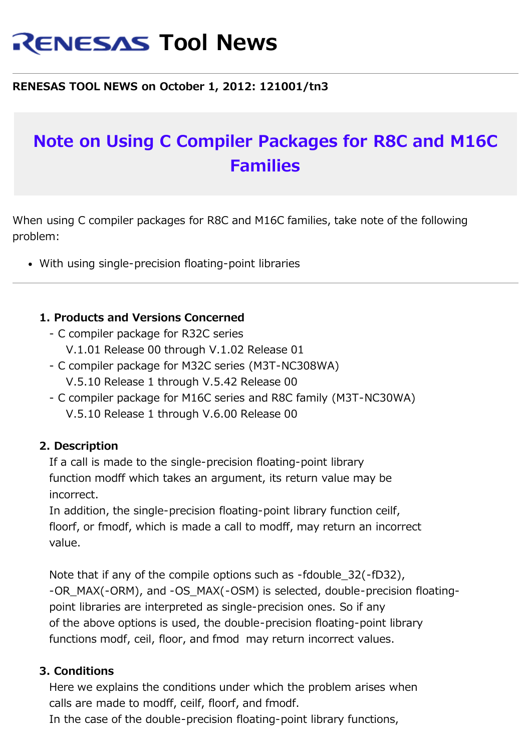# **RENESAS Tool News**

### **RENESAS TOOL NEWS on October 1, 2012: 121001/tn3**

# **Note on Using C Compiler Packages for R8C and M16C Families**

When using C compiler packages for R8C and M16C families, take note of the following problem:

With using single-precision floating-point libraries

#### **1. Products and Versions Concerned**

- C compiler package for R32C series
	- V.1.01 Release 00 through V.1.02 Release 01
- C compiler package for M32C series (M3T-NC308WA) V.5.10 Release 1 through V.5.42 Release 00
- C compiler package for M16C series and R8C family (M3T-NC30WA) V.5.10 Release 1 through V.6.00 Release 00

#### **2. Description**

 If a call is made to the single-precision floating-point library function modff which takes an argument, its return value may be incorrect.

 In addition, the single-precision floating-point library function ceilf, floorf, or fmodf, which is made a call to modff, may return an incorrect value.

 Note that if any of the compile options such as -fdouble\_32(-fD32), -OR\_MAX(-ORM), and -OS\_MAX(-OSM) is selected, double-precision floating point libraries are interpreted as single-precision ones. So if any of the above options is used, the double-precision floating-point library functions modf, ceil, floor, and fmod may return incorrect values.

#### **3. Conditions**

 Here we explains the conditions under which the problem arises when calls are made to modff, ceilf, floorf, and fmodf.

In the case of the double-precision floating-point library functions,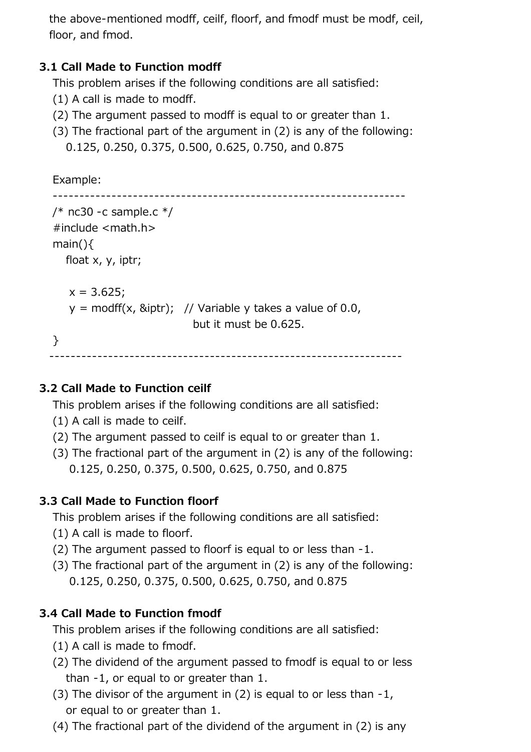the above-mentioned modff, ceilf, floorf, and fmodf must be modf, ceil, floor, and fmod.

## **3.1 Call Made to Function modff**

This problem arises if the following conditions are all satisfied:

- (1) A call is made to modff.
- (2) The argument passed to modff is equal to or greater than 1.
- (3) The fractional part of the argument in (2) is any of the following: 0.125, 0.250, 0.375, 0.500, 0.625, 0.750, and 0.875

```
 Example:
------------------------------------------------------------------
 /* nc30 -c sample.c */ #include <math.h>
  main(){
    float x, y, iptr;
    x = 3.625;
    y = \text{modff}(x, \text{Biptr}); // Variable y takes a value of 0.0,
                              but it must be 0.625.
  }
------------------------------------------------------------------
```
#### **3.2 Call Made to Function ceilf**

This problem arises if the following conditions are all satisfied:

- (1) A call is made to ceilf.
- (2) The argument passed to ceilf is equal to or greater than 1.
- (3) The fractional part of the argument in (2) is any of the following: 0.125, 0.250, 0.375, 0.500, 0.625, 0.750, and 0.875

#### **3.3 Call Made to Function floorf**

This problem arises if the following conditions are all satisfied:

- (1) A call is made to floorf.
- (2) The argument passed to floorf is equal to or less than -1.
- (3) The fractional part of the argument in (2) is any of the following: 0.125, 0.250, 0.375, 0.500, 0.625, 0.750, and 0.875

#### **3.4 Call Made to Function fmodf**

This problem arises if the following conditions are all satisfied:

- (1) A call is made to fmodf.
- (2) The dividend of the argument passed to fmodf is equal to or less than -1, or equal to or greater than 1.
- (3) The divisor of the argument in  $(2)$  is equal to or less than  $-1$ , or equal to or greater than 1.
- (4) The fractional part of the dividend of the argument in (2) is any